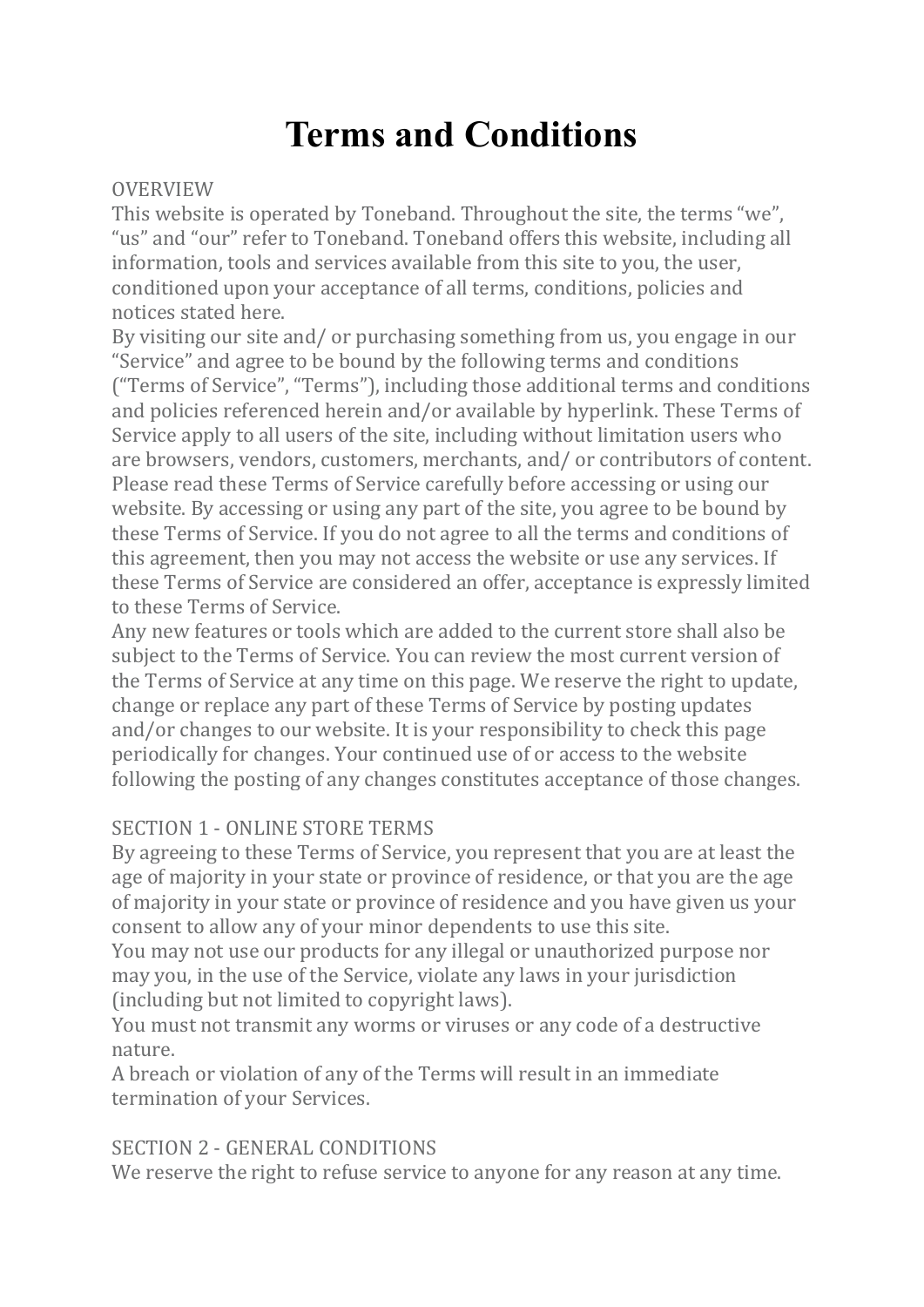# **Terms and Conditions**

# OVERVIEW

This website is operated by Toneband. Throughout the site, the terms "we", "us" and "our" refer to Toneband. Toneband offers this website, including all information, tools and services available from this site to you, the user, conditioned upon your acceptance of all terms, conditions, policies and notices stated here.

By visiting our site and/ or purchasing something from us, you engage in our "Service" and agree to be bound by the following terms and conditions ("Terms of Service", "Terms"), including those additional terms and conditions and policies referenced herein and/or available by hyperlink. These Terms of Service apply to all users of the site, including without limitation users who are browsers, vendors, customers, merchants, and/ or contributors of content. Please read these Terms of Service carefully before accessing or using our website. By accessing or using any part of the site, you agree to be bound by these Terms of Service. If you do not agree to all the terms and conditions of this agreement, then you may not access the website or use any services. If these Terms of Service are considered an offer, acceptance is expressly limited to these Terms of Service.

Any new features or tools which are added to the current store shall also be subject to the Terms of Service. You can review the most current version of the Terms of Service at any time on this page. We reserve the right to update, change or replace any part of these Terms of Service by posting updates and/or changes to our website. It is your responsibility to check this page periodically for changes. Your continued use of or access to the website following the posting of any changes constitutes acceptance of those changes.

# SECTION 1 - ONLINE STORE TERMS

By agreeing to these Terms of Service, you represent that you are at least the age of majority in your state or province of residence, or that you are the age of majority in your state or province of residence and you have given us your consent to allow any of your minor dependents to use this site.

You may not use our products for any illegal or unauthorized purpose nor may you, in the use of the Service, violate any laws in your jurisdiction (including but not limited to copyright laws).

You must not transmit any worms or viruses or any code of a destructive nature.

A breach or violation of any of the Terms will result in an immediate termination of your Services.

# SECTION 2 - GENERAL CONDITIONS

We reserve the right to refuse service to anyone for any reason at any time.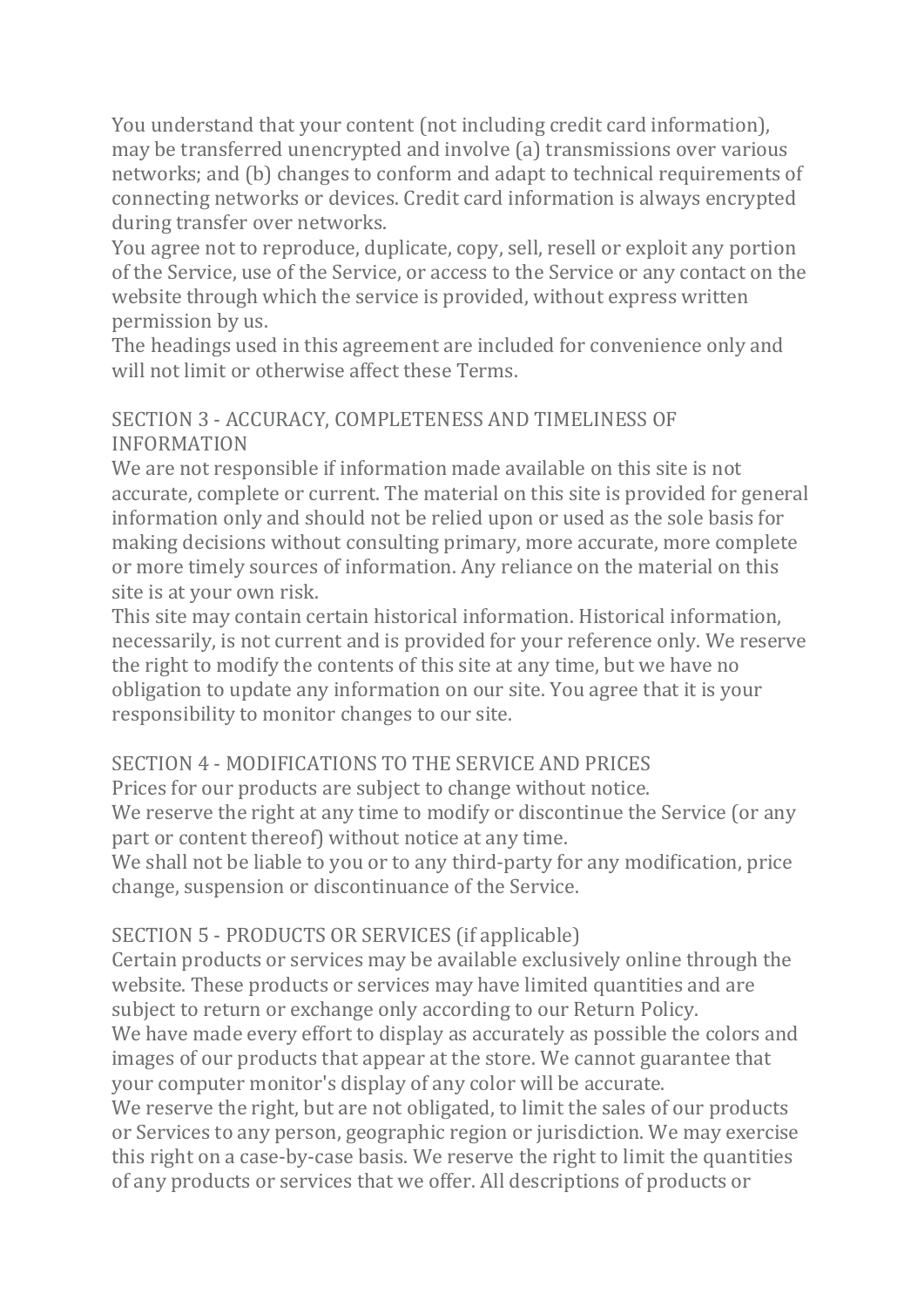You understand that your content (not including credit card information), may be transferred unencrypted and involve (a) transmissions over various networks; and (b) changes to conform and adapt to technical requirements of connecting networks or devices. Credit card information is always encrypted during transfer over networks.

You agree not to reproduce, duplicate, copy, sell, resell or exploit any portion of the Service, use of the Service, or access to the Service or any contact on the website through which the service is provided, without express written permission by us.

The headings used in this agreement are included for convenience only and will not limit or otherwise affect these Terms

## SECTION 3 - ACCURACY, COMPLETENESS AND TIMELINESS OF INFORMATION

We are not responsible if information made available on this site is not accurate, complete or current. The material on this site is provided for general information only and should not be relied upon or used as the sole basis for making decisions without consulting primary, more accurate, more complete or more timely sources of information. Any reliance on the material on this site is at your own risk.

This site may contain certain historical information. Historical information, necessarily, is not current and is provided for your reference only. We reserve the right to modify the contents of this site at any time, but we have no obligation to update any information on our site. You agree that it is your responsibility to monitor changes to our site.

# SECTION 4 - MODIFICATIONS TO THE SERVICE AND PRICES

Prices for our products are subject to change without notice. We reserve the right at any time to modify or discontinue the Service (or any part or content thereof) without notice at any time.

We shall not be liable to you or to any third-party for any modification, price change, suspension or discontinuance of the Service.

# SECTION 5 - PRODUCTS OR SERVICES (if applicable)

Certain products or services may be available exclusively online through the website. These products or services may have limited quantities and are subject to return or exchange only according to our Return Policy.

We have made every effort to display as accurately as possible the colors and images of our products that appear at the store. We cannot guarantee that your computer monitor's display of any color will be accurate.

We reserve the right, but are not obligated, to limit the sales of our products or Services to any person, geographic region or jurisdiction. We may exercise this right on a case-by-case basis. We reserve the right to limit the quantities of any products or services that we offer. All descriptions of products or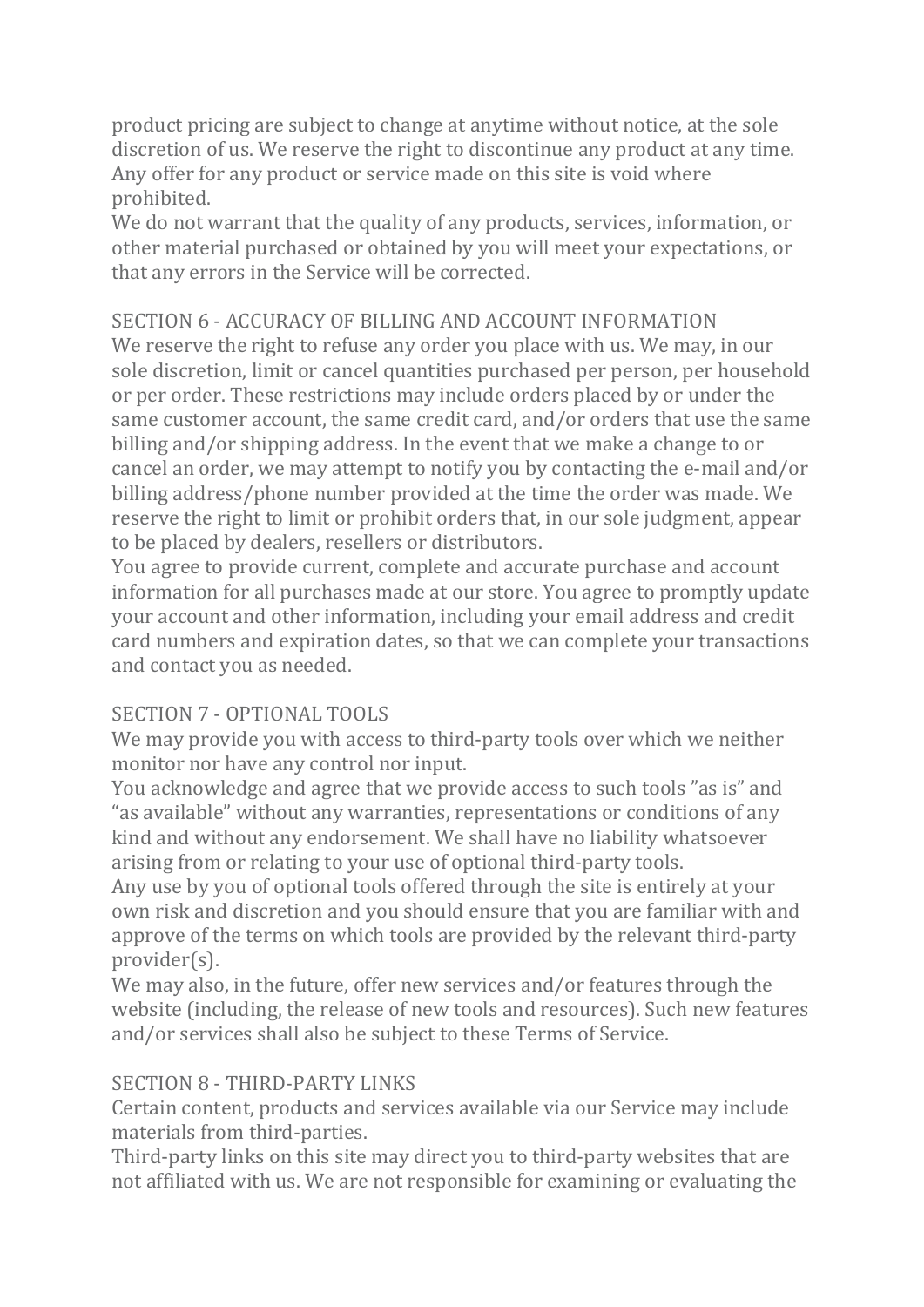product pricing are subject to change at anytime without notice, at the sole discretion of us. We reserve the right to discontinue any product at any time. Any offer for any product or service made on this site is void where prohibited.

We do not warrant that the quality of any products, services, information, or other material purchased or obtained by you will meet your expectations, or that any errors in the Service will be corrected.

# SECTION 6 - ACCURACY OF BILLING AND ACCOUNT INFORMATION

We reserve the right to refuse any order you place with us. We may, in our sole discretion, limit or cancel quantities purchased per person, per household or per order. These restrictions may include orders placed by or under the same customer account, the same credit card, and/or orders that use the same billing and/or shipping address. In the event that we make a change to or cancel an order, we may attempt to notify you by contacting the e-mail and/or billing address/phone number provided at the time the order was made. We reserve the right to limit or prohibit orders that, in our sole judgment, appear to be placed by dealers, resellers or distributors.

You agree to provide current, complete and accurate purchase and account information for all purchases made at our store. You agree to promptly update your account and other information, including your email address and credit card numbers and expiration dates, so that we can complete your transactions and contact you as needed.

# SECTION 7 - OPTIONAL TOOLS

We may provide you with access to third-party tools over which we neither monitor nor have any control nor input.

You acknowledge and agree that we provide access to such tools "as is" and "as available" without any warranties, representations or conditions of any kind and without any endorsement. We shall have no liability whatsoever arising from or relating to your use of optional third-party tools.

Any use by you of optional tools offered through the site is entirely at your own risk and discretion and you should ensure that you are familiar with and approve of the terms on which tools are provided by the relevant third-party provider(s).

We may also, in the future, offer new services and/or features through the website (including, the release of new tools and resources). Such new features and/or services shall also be subject to these Terms of Service.

## SECTION 8 - THIRD-PARTY LINKS

Certain content, products and services available via our Service may include materials from third-parties.

Third-party links on this site may direct you to third-party websites that are not affiliated with us. We are not responsible for examining or evaluating the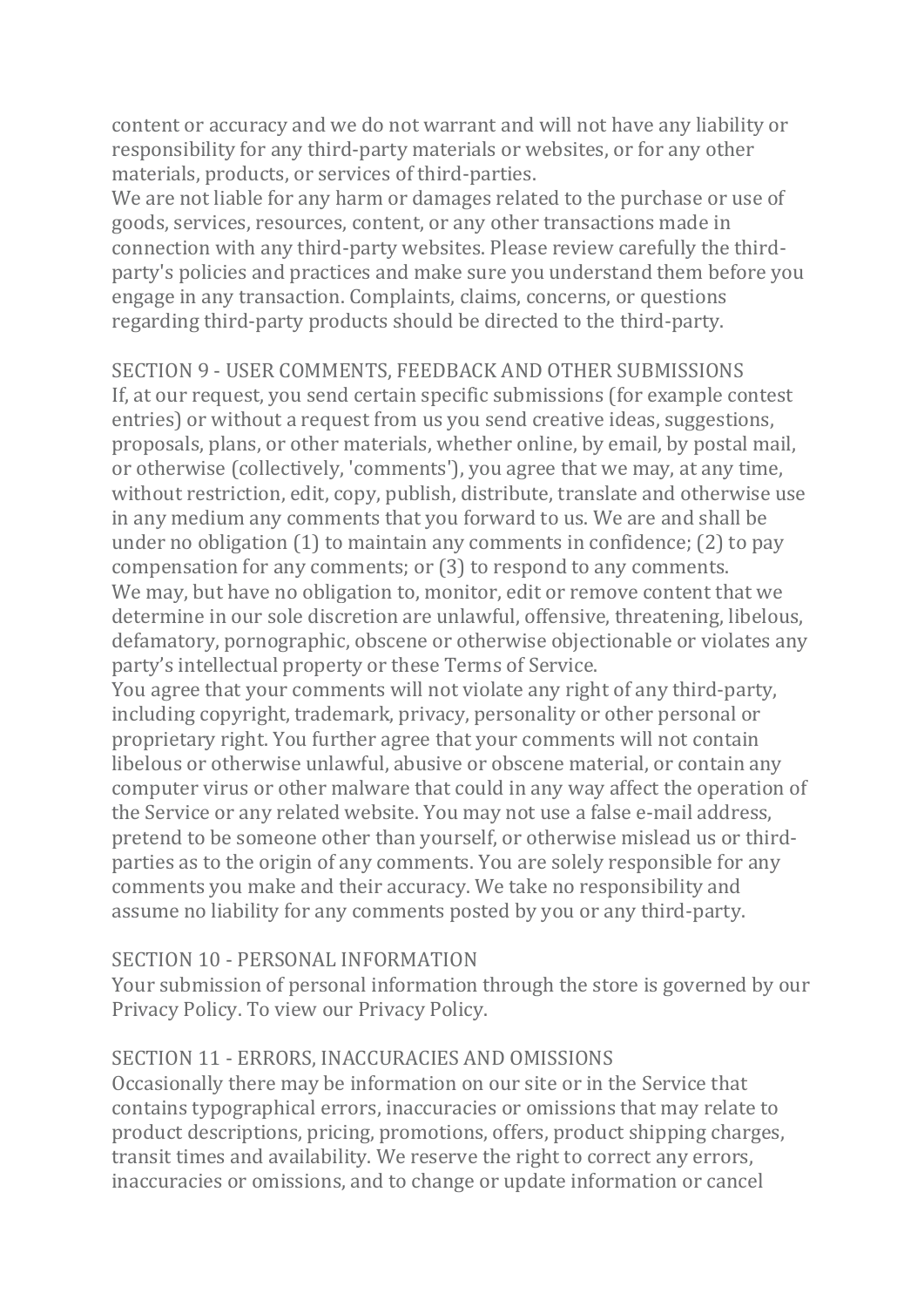content or accuracy and we do not warrant and will not have any liability or responsibility for any third-party materials or websites, or for any other materials, products, or services of third-parties.

We are not liable for any harm or damages related to the purchase or use of goods, services, resources, content, or any other transactions made in connection with any third-party websites. Please review carefully the thirdparty's policies and practices and make sure you understand them before you engage in any transaction. Complaints, claims, concerns, or questions regarding third-party products should be directed to the third-party.

#### SECTION 9 - USER COMMENTS, FEEDBACK AND OTHER SUBMISSIONS

If, at our request, you send certain specific submissions (for example contest entries) or without a request from us you send creative ideas, suggestions, proposals, plans, or other materials, whether online, by email, by postal mail, or otherwise (collectively, 'comments'), you agree that we may, at any time, without restriction, edit, copy, publish, distribute, translate and otherwise use in any medium any comments that you forward to us. We are and shall be under no obligation (1) to maintain any comments in confidence; (2) to pay compensation for any comments; or (3) to respond to any comments. We may, but have no obligation to, monitor, edit or remove content that we determine in our sole discretion are unlawful, offensive, threatening, libelous, defamatory, pornographic, obscene or otherwise objectionable or violates any party's intellectual property or these Terms of Service.

You agree that your comments will not violate any right of any third-party, including copyright, trademark, privacy, personality or other personal or proprietary right. You further agree that your comments will not contain libelous or otherwise unlawful, abusive or obscene material, or contain any computer virus or other malware that could in any way affect the operation of the Service or any related website. You may not use a false e-mail address, pretend to be someone other than yourself, or otherwise mislead us or thirdparties as to the origin of any comments. You are solely responsible for any comments you make and their accuracy. We take no responsibility and assume no liability for any comments posted by you or any third-party.

#### SECTION 10 - PERSONAL INFORMATION

Your submission of personal information through the store is governed by our Privacy Policy. To view our Privacy Policy.

## SECTION 11 - ERRORS, INACCURACIES AND OMISSIONS

Occasionally there may be information on our site or in the Service that contains typographical errors, inaccuracies or omissions that may relate to product descriptions, pricing, promotions, offers, product shipping charges, transit times and availability. We reserve the right to correct any errors, inaccuracies or omissions, and to change or update information or cancel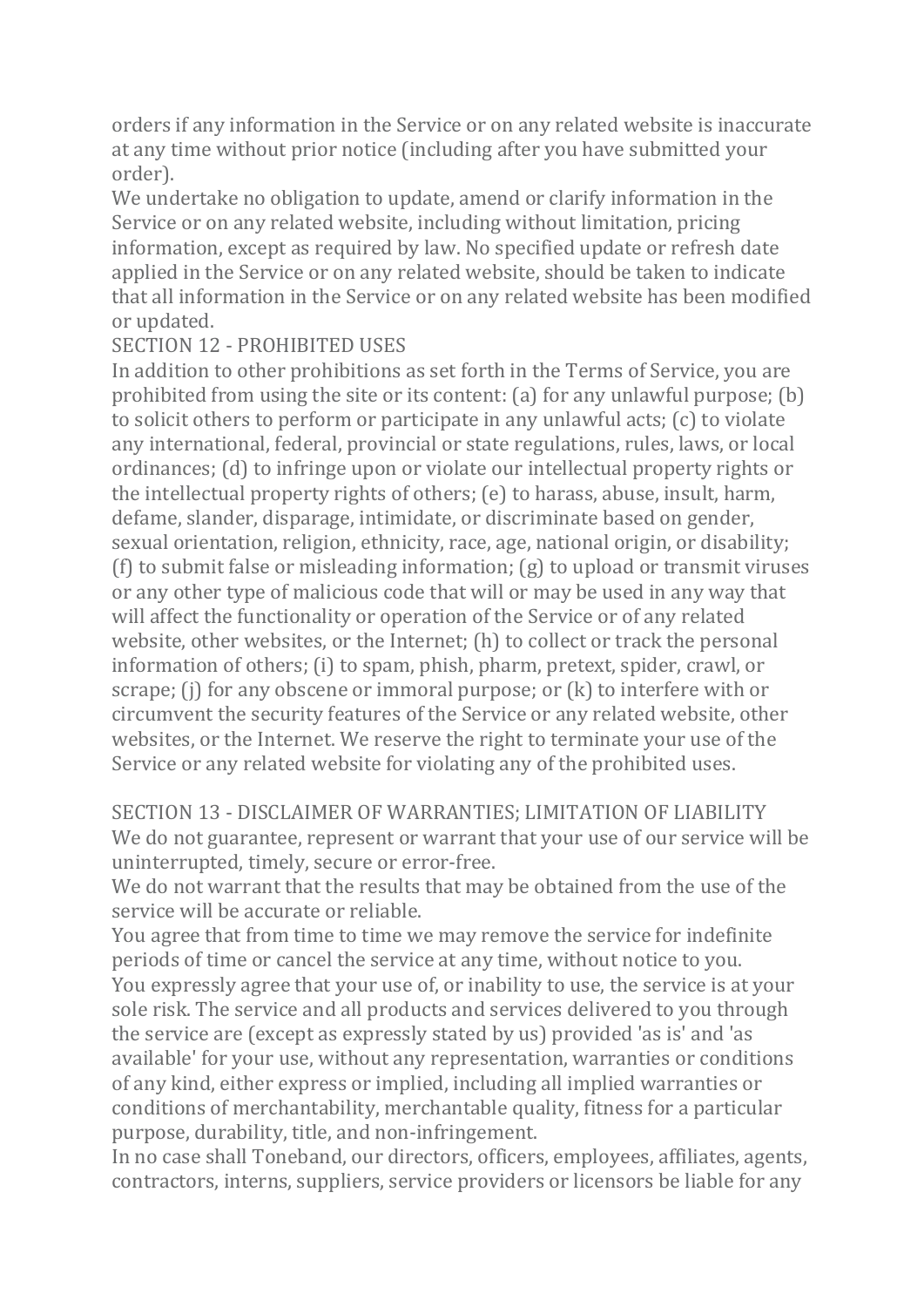orders if any information in the Service or on any related website is inaccurate at any time without prior notice (including after you have submitted your order).

We undertake no obligation to update, amend or clarify information in the Service or on any related website, including without limitation, pricing information, except as required by law. No specified update or refresh date applied in the Service or on any related website, should be taken to indicate that all information in the Service or on any related website has been modified or updated.

## SECTION 12 - PROHIBITED USES

In addition to other prohibitions as set forth in the Terms of Service, you are prohibited from using the site or its content: (a) for any unlawful purpose; (b) to solicit others to perform or participate in any unlawful acts; (c) to violate any international, federal, provincial or state regulations, rules, laws, or local ordinances; (d) to infringe upon or violate our intellectual property rights or the intellectual property rights of others; (e) to harass, abuse, insult, harm, defame, slander, disparage, intimidate, or discriminate based on gender, sexual orientation, religion, ethnicity, race, age, national origin, or disability; (f) to submit false or misleading information; (g) to upload or transmit viruses or any other type of malicious code that will or may be used in any way that will affect the functionality or operation of the Service or of any related website, other websites, or the Internet; (h) to collect or track the personal information of others; (i) to spam, phish, pharm, pretext, spider, crawl, or scrape; (j) for any obscene or immoral purpose; or (k) to interfere with or circumvent the security features of the Service or any related website, other websites, or the Internet. We reserve the right to terminate your use of the Service or any related website for violating any of the prohibited uses.

SECTION 13 - DISCLAIMER OF WARRANTIES; LIMITATION OF LIABILITY We do not guarantee, represent or warrant that your use of our service will be uninterrupted, timely, secure or error-free.

We do not warrant that the results that may be obtained from the use of the service will be accurate or reliable.

You agree that from time to time we may remove the service for indefinite periods of time or cancel the service at any time, without notice to you. You expressly agree that your use of, or inability to use, the service is at your sole risk. The service and all products and services delivered to you through the service are (except as expressly stated by us) provided 'as is' and 'as available' for your use, without any representation, warranties or conditions of any kind, either express or implied, including all implied warranties or conditions of merchantability, merchantable quality, fitness for a particular purpose, durability, title, and non-infringement.

In no case shall Toneband, our directors, officers, employees, affiliates, agents, contractors, interns, suppliers, service providers or licensors be liable for any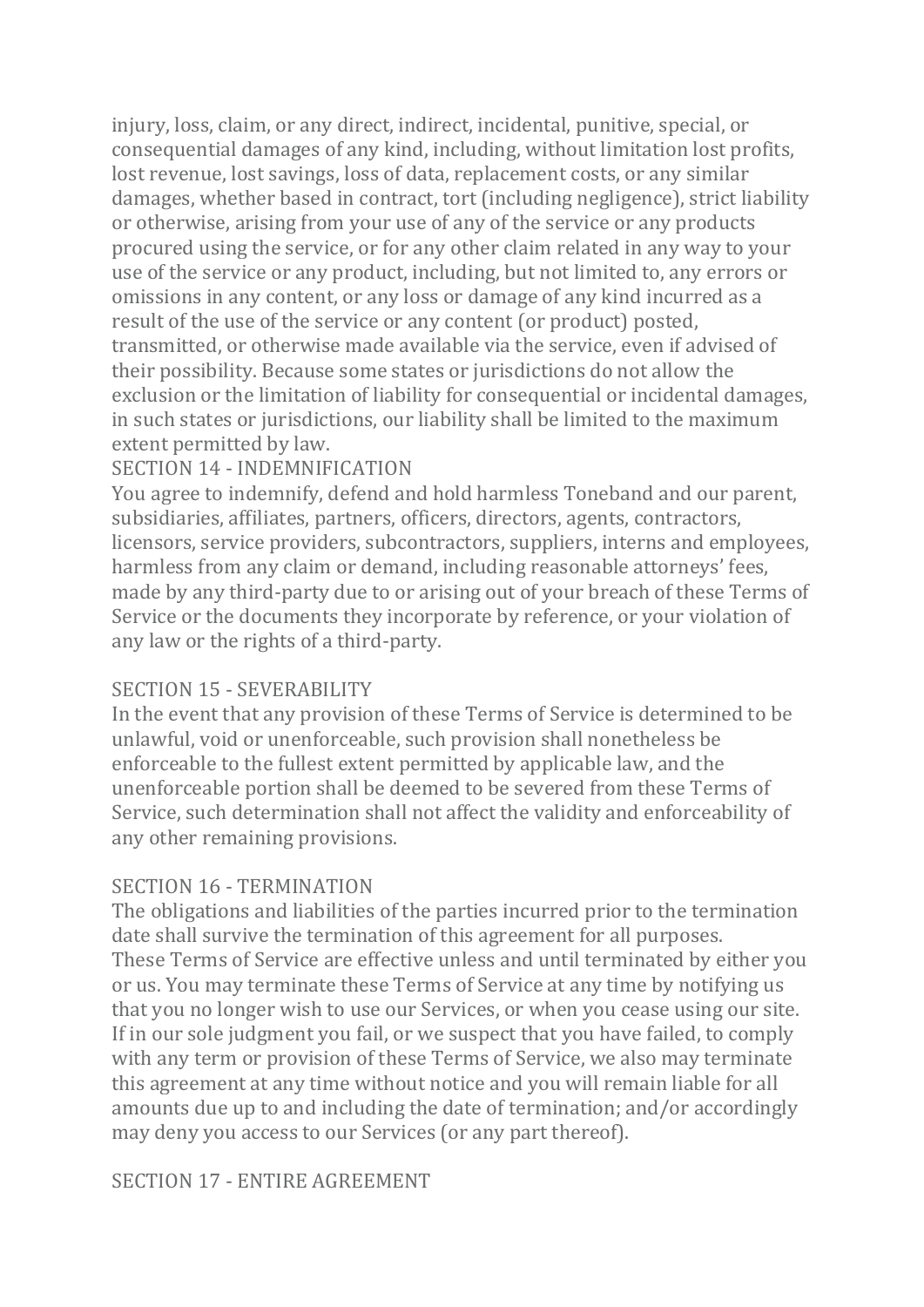injury, loss, claim, or any direct, indirect, incidental, punitive, special, or consequential damages of any kind, including, without limitation lost profits, lost revenue, lost savings, loss of data, replacement costs, or any similar damages, whether based in contract, tort (including negligence), strict liability or otherwise, arising from your use of any of the service or any products procured using the service, or for any other claim related in any way to your use of the service or any product, including, but not limited to, any errors or omissions in any content, or any loss or damage of any kind incurred as a result of the use of the service or any content (or product) posted, transmitted, or otherwise made available via the service, even if advised of their possibility. Because some states or jurisdictions do not allow the exclusion or the limitation of liability for consequential or incidental damages, in such states or jurisdictions, our liability shall be limited to the maximum extent permitted by law.

## SECTION 14 - INDEMNIFICATION

You agree to indemnify, defend and hold harmless Toneband and our parent, subsidiaries, affiliates, partners, officers, directors, agents, contractors, licensors, service providers, subcontractors, suppliers, interns and employees, harmless from any claim or demand, including reasonable attorneys' fees, made by any third-party due to or arising out of your breach of these Terms of Service or the documents they incorporate by reference, or your violation of any law or the rights of a third-party.

## SECTION 15 - SEVERABILITY

In the event that any provision of these Terms of Service is determined to be unlawful, void or unenforceable, such provision shall nonetheless be enforceable to the fullest extent permitted by applicable law, and the unenforceable portion shall be deemed to be severed from these Terms of Service, such determination shall not affect the validity and enforceability of any other remaining provisions.

## SECTION 16 - TERMINATION

The obligations and liabilities of the parties incurred prior to the termination date shall survive the termination of this agreement for all purposes. These Terms of Service are effective unless and until terminated by either you or us. You may terminate these Terms of Service at any time by notifying us that you no longer wish to use our Services, or when you cease using our site. If in our sole judgment you fail, or we suspect that you have failed, to comply with any term or provision of these Terms of Service, we also may terminate this agreement at any time without notice and you will remain liable for all amounts due up to and including the date of termination; and/or accordingly may deny you access to our Services (or any part thereof).

# SECTION 17 - ENTIRE AGREEMENT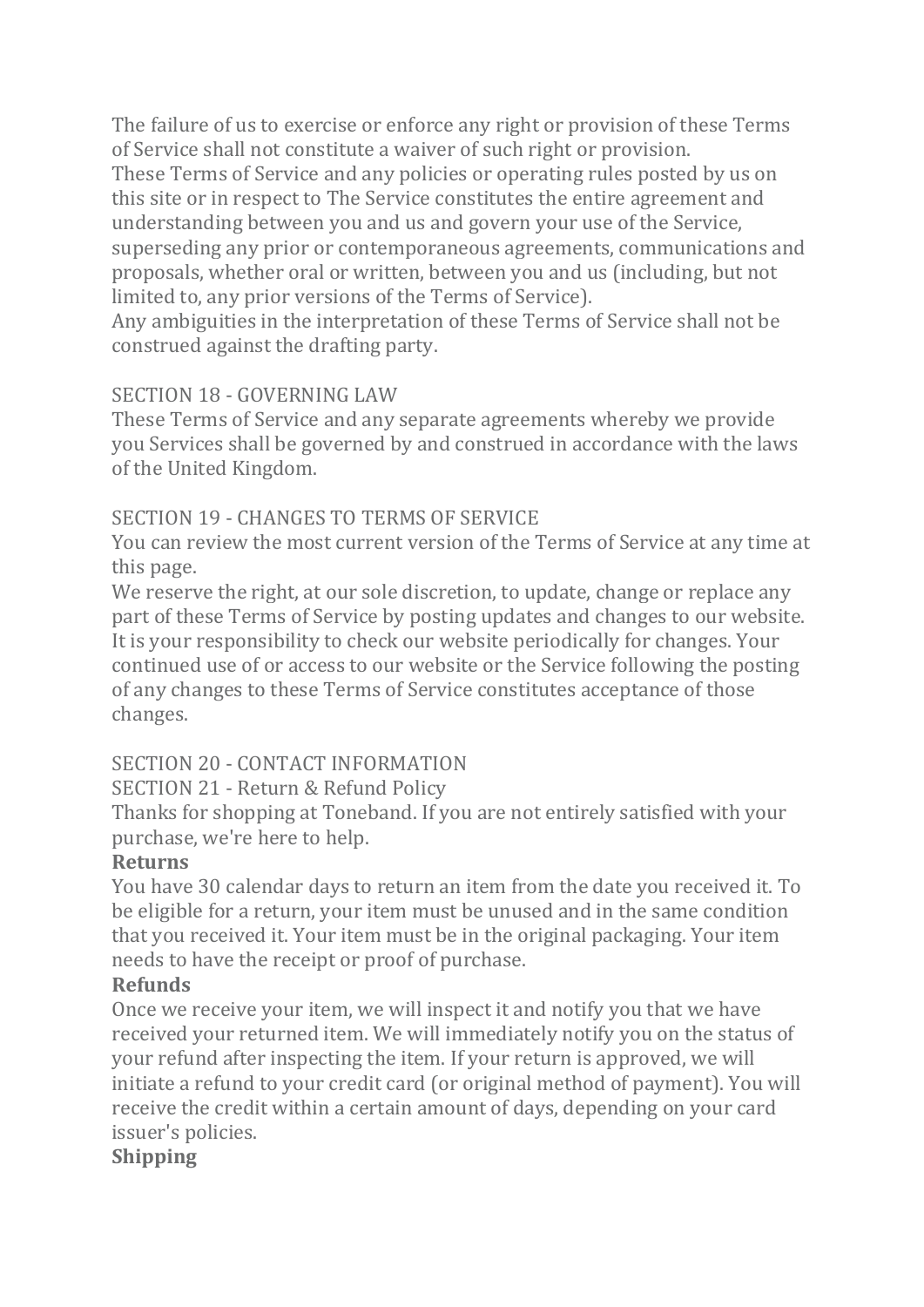The failure of us to exercise or enforce any right or provision of these Terms of Service shall not constitute a waiver of such right or provision.

These Terms of Service and any policies or operating rules posted by us on this site or in respect to The Service constitutes the entire agreement and understanding between you and us and govern your use of the Service, superseding any prior or contemporaneous agreements, communications and proposals, whether oral or written, between you and us (including, but not limited to, any prior versions of the Terms of Service).

Any ambiguities in the interpretation of these Terms of Service shall not be construed against the drafting party.

# SECTION 18 - GOVERNING LAW

These Terms of Service and any separate agreements whereby we provide you Services shall be governed by and construed in accordance with the laws of the United Kingdom.

# SECTION 19 - CHANGES TO TERMS OF SERVICE

You can review the most current version of the Terms of Service at any time at this page.

We reserve the right, at our sole discretion, to update, change or replace any part of these Terms of Service by posting updates and changes to our website. It is your responsibility to check our website periodically for changes. Your continued use of or access to our website or the Service following the posting of any changes to these Terms of Service constitutes acceptance of those changes.

# SECTION 20 - CONTACT INFORMATION

SECTION 21 - Return & Refund Policy

Thanks for shopping at Toneband. If you are not entirely satisfied with your purchase, we're here to help.

# **Returns**

You have 30 calendar days to return an item from the date you received it. To be eligible for a return, your item must be unused and in the same condition that you received it. Your item must be in the original packaging. Your item needs to have the receipt or proof of purchase.

# **Refunds**

Once we receive your item, we will inspect it and notify you that we have received your returned item. We will immediately notify you on the status of your refund after inspecting the item. If your return is approved, we will initiate a refund to your credit card (or original method of payment). You will receive the credit within a certain amount of days, depending on your card issuer's policies.

## **Shipping**